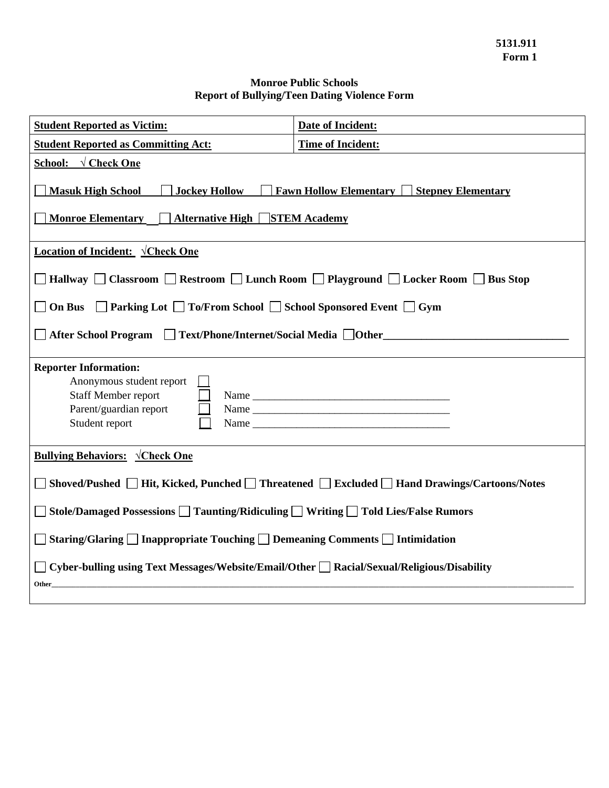## **Monroe Public Schools Report of Bullying/Teen Dating Violence Form**

| <b>Student Reported as Victim:</b>                                                                                                                                       | <b>Date of Incident:</b> |
|--------------------------------------------------------------------------------------------------------------------------------------------------------------------------|--------------------------|
| <b>Student Reported as Committing Act:</b>                                                                                                                               | <b>Time of Incident:</b> |
| <b>School:</b> $\sqrt{\text{Check One}}$                                                                                                                                 |                          |
| <b>Masuk High School</b><br><b>Jockey Hollow</b><br><b>Fawn Hollow Elementary Stepney Elementary</b><br><b>Monroe Elementary</b><br><b>Alternative High STEM Academy</b> |                          |
| <b>Location of Incident: VCheck One</b>                                                                                                                                  |                          |
| Hallway □ Classroom □ Restroom □ Lunch Room □ Playground □ Locker Room □ Bus Stop                                                                                        |                          |
| □ Parking Lot □ To/From School □ School Sponsored Event □ Gym<br><b>On Bus</b>                                                                                           |                          |
| After School Program □ Text/Phone/Internet/Social Media □ Other                                                                                                          |                          |
| <b>Reporter Information:</b><br>Anonymous student report<br>Staff Member report<br>Parent/guardian report<br>Student report                                              |                          |
| <b>Bullying Behaviors: VCheck One</b>                                                                                                                                    |                          |
| Shoved/Pushed □ Hit, Kicked, Punched □ Threatened □ Excluded □ Hand Drawings/Cartoons/Notes                                                                              |                          |
| Stole/Damaged Possessions □ Taunting/Ridiculing □ Writing □ Told Lies/False Rumors                                                                                       |                          |
| Staring/Glaring $\Box$ Inappropriate Touching $\Box$ Demeaning Comments $\Box$ Intimidation                                                                              |                          |
| □ Cyber-bulling using Text Messages/Website/Email/Other □ Racial/Sexual/Religious/Disability<br>Other                                                                    |                          |